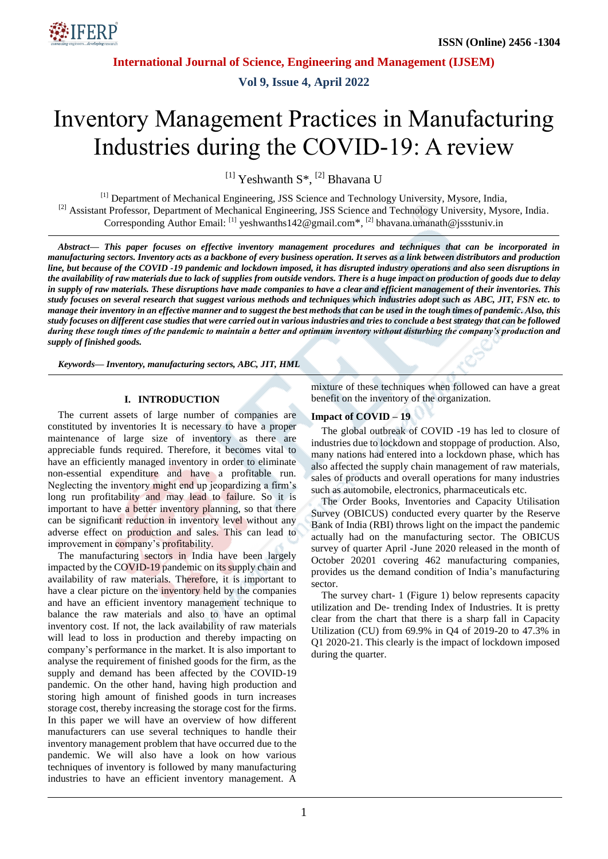

**Vol 9, Issue 4, April 2022**

# Inventory Management Practices in Manufacturing Industries during the COVID-19: A review

<sup>[1]</sup> Yeshwanth S<sup>\*</sup>, <sup>[2]</sup> Bhavana U

[1] Department of Mechanical Engineering, JSS Science and Technology University, Mysore, India, <sup>[2]</sup> Assistant Professor, Department of Mechanical Engineering, JSS Science and Technology University, Mysore, India. Corresponding Author Email: <sup>[1]</sup> yeshwanths142@gmail.com\*, <sup>[2]</sup> bhavana.umanath@jssstuniv.in

*Abstract— This paper focuses on effective inventory management procedures and techniques that can be incorporated in manufacturing sectors. Inventory acts as a backbone of every business operation. It serves as a link between distributors and production line, but because of the COVID -19 pandemic and lockdown imposed, it has disrupted industry operations and also seen disruptions in the availability of raw materials due to lack of supplies from outside vendors. There is a huge impact on production of goods due to delay in supply of raw materials. These disruptions have made companies to have a clear and efficient management of their inventories. This study focuses on several research that suggest various methods and techniques which industries adopt such as ABC, JIT, FSN etc. to manage their inventory in an effective manner and to suggest the best methods that can be used in the tough times of pandemic. Also, this study focuses on different case studies that were carried out in various industries and tries to conclude a best strategy that can be followed during these tough times of the pandemic to maintain a better and optimum inventory without disturbing the company's production and supply of finished goods.*

*Keywords— Inventory, manufacturing sectors, ABC, JIT, HML*

## **I. INTRODUCTION**

The current assets of large number of companies are constituted by inventories It is necessary to have a proper maintenance of large size of inventory as there are appreciable funds required. Therefore, it becomes vital to have an efficiently managed inventory in order to eliminate non-essential expenditure and have a profitable run. Neglecting the inventory might end up jeopardizing a firm's long run profitability and may lead to failure. So it is important to have a better inventory planning, so that there can be significant reduction in inventory level without any adverse effect on production and sales. This can lead to improvement in company's profitability.

The manufacturing sectors in India have been largely impacted by the COVID-19 pandemic on its supply chain and availability of raw materials. Therefore, it is important to have a clear picture on the inventory held by the companies and have an efficient inventory management technique to balance the raw materials and also to have an optimal inventory cost. If not, the lack availability of raw materials will lead to loss in production and thereby impacting on company's performance in the market. It is also important to analyse the requirement of finished goods for the firm, as the supply and demand has been affected by the COVID-19 pandemic. On the other hand, having high production and storing high amount of finished goods in turn increases storage cost, thereby increasing the storage cost for the firms. In this paper we will have an overview of how different manufacturers can use several techniques to handle their inventory management problem that have occurred due to the pandemic. We will also have a look on how various techniques of inventory is followed by many manufacturing industries to have an efficient inventory management. A mixture of these techniques when followed can have a great benefit on the inventory of the organization.

#### **Impact of COVID – 19**

The global outbreak of COVID -19 has led to closure of industries due to lockdown and stoppage of production. Also, many nations had entered into a lockdown phase, which has also affected the supply chain management of raw materials, sales of products and overall operations for many industries such as automobile, electronics, pharmaceuticals etc.

The Order Books, Inventories and Capacity Utilisation Survey (OBICUS) conducted every quarter by the Reserve Bank of India (RBI) throws light on the impact the pandemic actually had on the manufacturing sector. The OBICUS survey of quarter April -June 2020 released in the month of October 20201 covering 462 manufacturing companies, provides us the demand condition of India's manufacturing sector.

The survey chart- 1 (Figure 1) below represents capacity utilization and De- trending Index of Industries. It is pretty clear from the chart that there is a sharp fall in Capacity Utilization (CU) from 69.9% in Q4 of 2019-20 to 47.3% in Q1 2020-21. This clearly is the impact of lockdown imposed during the quarter.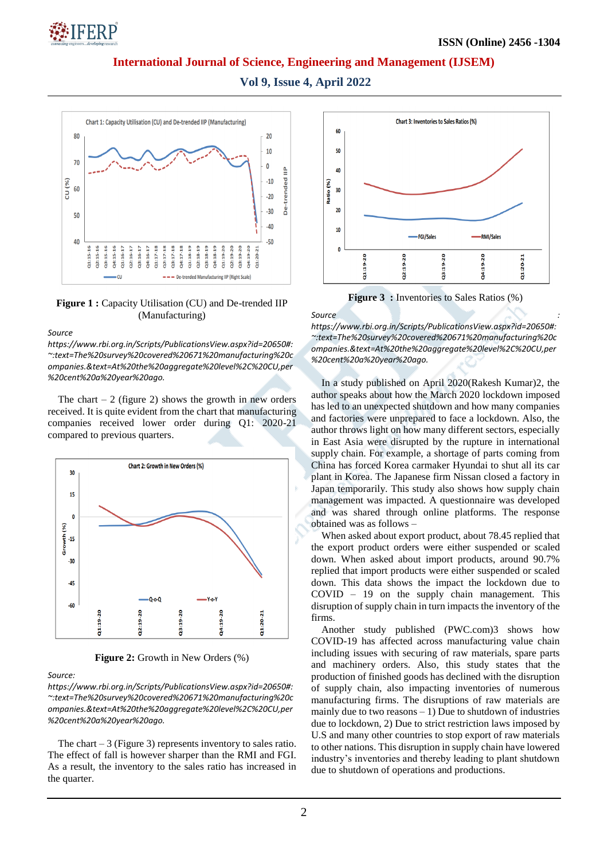

**Vol 9, Issue 4, April 2022**



**Figure 1 :** Capacity Utilisation (CU) and De-trended IIP (Manufacturing)

#### *Source*

*[https://www.rbi.org.in/Scripts/PublicationsView.aspx?id=20650#:](https://www.rbi.org.in/Scripts/PublicationsView.aspx?id=20650#:~:text=The%20survey%20covered%20671%20manufacturing%20companies.&text=At%20the%20aggregate%20level%2C%20CU,per%20cent%20a%20year%20ago.) [~:text=The%20survey%20covered%20671%20manufacturing%20c](https://www.rbi.org.in/Scripts/PublicationsView.aspx?id=20650#:~:text=The%20survey%20covered%20671%20manufacturing%20companies.&text=At%20the%20aggregate%20level%2C%20CU,per%20cent%20a%20year%20ago.) [ompanies.&text=At%20the%20aggregate%20level%2C%20CU,per](https://www.rbi.org.in/Scripts/PublicationsView.aspx?id=20650#:~:text=The%20survey%20covered%20671%20manufacturing%20companies.&text=At%20the%20aggregate%20level%2C%20CU,per%20cent%20a%20year%20ago.) [%20cent%20a%20year%20ago.](https://www.rbi.org.in/Scripts/PublicationsView.aspx?id=20650#:~:text=The%20survey%20covered%20671%20manufacturing%20companies.&text=At%20the%20aggregate%20level%2C%20CU,per%20cent%20a%20year%20ago.)*

The chart  $-2$  (figure 2) shows the growth in new orders received. It is quite evident from the chart that manufacturing companies received lower order during Q1: 2020-21 compared to previous quarters.



**Figure 2:** Growth in New Orders (%)

#### *Source:*

*[https://www.rbi.org.in/Scripts/PublicationsView.aspx?id=20650#:](https://www.rbi.org.in/Scripts/PublicationsView.aspx?id=20650#:~:text=The%20survey%20covered%20671%20manufacturing%20companies.&text=At%20the%20aggregate%20level%2C%20CU,per%20cent%20a%20year%20ago.) [~:text=The%20survey%20covered%20671%20manufacturing%20c](https://www.rbi.org.in/Scripts/PublicationsView.aspx?id=20650#:~:text=The%20survey%20covered%20671%20manufacturing%20companies.&text=At%20the%20aggregate%20level%2C%20CU,per%20cent%20a%20year%20ago.) [ompanies.&text=At%20the%20aggregate%20level%2C%20CU,per](https://www.rbi.org.in/Scripts/PublicationsView.aspx?id=20650#:~:text=The%20survey%20covered%20671%20manufacturing%20companies.&text=At%20the%20aggregate%20level%2C%20CU,per%20cent%20a%20year%20ago.) [%20cent%20a%20year%20ago.](https://www.rbi.org.in/Scripts/PublicationsView.aspx?id=20650#:~:text=The%20survey%20covered%20671%20manufacturing%20companies.&text=At%20the%20aggregate%20level%2C%20CU,per%20cent%20a%20year%20ago.)*

The chart  $-3$  (Figure 3) represents inventory to sales ratio. The effect of fall is however sharper than the RMI and FGI. As a result, the inventory to the sales ratio has increased in the quarter.



**Figure 3** : Inventories to Sales Ratios (%)

**Source** : *Source* : *<i>Source* :

*[https://www.rbi.org.in/Scripts/PublicationsView.aspx?id=20650#:](https://www.rbi.org.in/Scripts/PublicationsView.aspx?id=20650#:~:text=The%20survey%20covered%20671%20manufacturing%20companies.&text=At%20the%20aggregate%20level%2C%20CU,per%20cent%20a%20year%20ago.) [~:text=The%20survey%20covered%20671%20manufacturing%20c](https://www.rbi.org.in/Scripts/PublicationsView.aspx?id=20650#:~:text=The%20survey%20covered%20671%20manufacturing%20companies.&text=At%20the%20aggregate%20level%2C%20CU,per%20cent%20a%20year%20ago.) [ompanies.&text=At%20the%20aggregate%20level%2C%20CU,per](https://www.rbi.org.in/Scripts/PublicationsView.aspx?id=20650#:~:text=The%20survey%20covered%20671%20manufacturing%20companies.&text=At%20the%20aggregate%20level%2C%20CU,per%20cent%20a%20year%20ago.) [%20cent%20a%20year%20ago.](https://www.rbi.org.in/Scripts/PublicationsView.aspx?id=20650#:~:text=The%20survey%20covered%20671%20manufacturing%20companies.&text=At%20the%20aggregate%20level%2C%20CU,per%20cent%20a%20year%20ago.)*

In a study published on April 2020(Rakesh Kumar)2, the author speaks about how the March 2020 lockdown imposed has led to an unexpected shutdown and how many companies and factories were unprepared to face a lockdown. Also, the author throws light on how many different sectors, especially in East Asia were disrupted by the rupture in international supply chain. For example, a shortage of parts coming from China has forced Korea carmaker Hyundai to shut all its car plant in Korea. The Japanese firm Nissan closed a factory in Japan temporarily. This study also shows how supply chain management was impacted. A questionnaire was developed and was shared through online platforms. The response obtained was as follows –

When asked about export product, about 78.45 replied that the export product orders were either suspended or scaled down. When asked about import products, around 90.7% replied that import products were either suspended or scaled down. This data shows the impact the lockdown due to COVID – 19 on the supply chain management. This disruption of supply chain in turn impacts the inventory of the firms.

Another study published (PWC.com)3 shows how COVID-19 has affected across manufacturing value chain including issues with securing of raw materials, spare parts and machinery orders. Also, this study states that the production of finished goods has declined with the disruption of supply chain, also impacting inventories of numerous manufacturing firms. The disruptions of raw materials are mainly due to two reasons  $-1$ ) Due to shutdown of industries due to lockdown, 2) Due to strict restriction laws imposed by U.S and many other countries to stop export of raw materials to other nations. This disruption in supply chain have lowered industry's inventories and thereby leading to plant shutdown due to shutdown of operations and productions.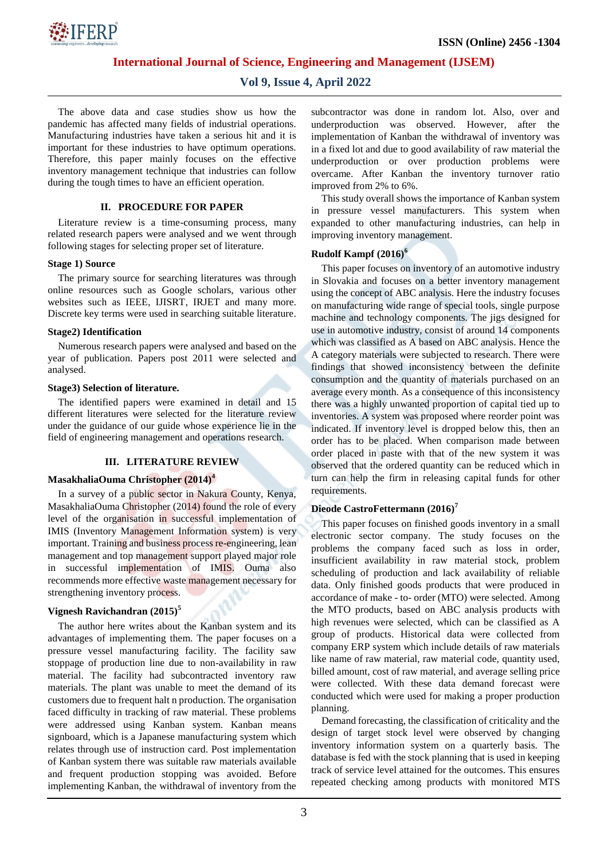

# **Vol 9, Issue 4, April 2022**

The above data and case studies show us how the pandemic has affected many fields of industrial operations. Manufacturing industries have taken a serious hit and it is important for these industries to have optimum operations. Therefore, this paper mainly focuses on the effective inventory management technique that industries can follow during the tough times to have an efficient operation.

#### **II. PROCEDURE FOR PAPER**

Literature review is a time-consuming process, many related research papers were analysed and we went through following stages for selecting proper set of literature.

#### **Stage 1) Source**

The primary source for searching literatures was through online resources such as Google scholars, various other websites such as IEEE, IJISRT, IRJET and many more. Discrete key terms were used in searching suitable literature.

#### **Stage2) Identification**

Numerous research papers were analysed and based on the year of publication. Papers post 2011 were selected and analysed.

#### **Stage3) Selection of literature.**

The identified papers were examined in detail and 15 different literatures were selected for the literature review under the guidance of our guide whose experience lie in the field of engineering management and operations research.

#### **III. LITERATURE REVIEW**

#### **MasakhaliaOuma Christopher (2014)<sup>4</sup>**

In a survey of a public sector in Nakura County, Kenya, MasakhaliaOuma Christopher (2014) found the role of every level of the organisation in successful implementation of IMIS (Inventory Management Information system) is very important. Training and business process re-engineering, lean management and top management support played major role in successful implementation of IMIS. Ouma also recommends more effective waste management necessary for strengthening inventory process.

#### **Vignesh Ravichandran (2015)<sup>5</sup>**

The author here writes about the Kanban system and its advantages of implementing them. The paper focuses on a pressure vessel manufacturing facility. The facility saw stoppage of production line due to non-availability in raw material. The facility had subcontracted inventory raw materials. The plant was unable to meet the demand of its customers due to frequent halt n production. The organisation faced difficulty in tracking of raw material. These problems were addressed using Kanban system. Kanban means signboard, which is a Japanese manufacturing system which relates through use of instruction card. Post implementation of Kanban system there was suitable raw materials available and frequent production stopping was avoided. Before implementing Kanban, the withdrawal of inventory from the

subcontractor was done in random lot. Also, over and underproduction was observed. However, after the implementation of Kanban the withdrawal of inventory was in a fixed lot and due to good availability of raw material the underproduction or over production problems were overcame. After Kanban the inventory turnover ratio improved from 2% to 6%.

This study overall shows the importance of Kanban system in pressure vessel manufacturers. This system when expanded to other manufacturing industries, can help in improving inventory management.

## **Rudolf Kampf (2016)<sup>6</sup>**

This paper focuses on inventory of an automotive industry in Slovakia and focuses on a better inventory management using the concept of ABC analysis. Here the industry focuses on manufacturing wide range of special tools, single purpose machine and technology components. The jigs designed for use in automotive industry, consist of around 14 components which was classified as A based on ABC analysis. Hence the A category materials were subjected to research. There were findings that showed inconsistency between the definite consumption and the quantity of materials purchased on an average every month. As a consequence of this inconsistency there was a highly unwanted proportion of capital tied up to inventories. A system was proposed where reorder point was indicated. If inventory level is dropped below this, then an order has to be placed. When comparison made between order placed in paste with that of the new system it was observed that the ordered quantity can be reduced which in turn can help the firm in releasing capital funds for other requirements.

#### **Dieode CastroFettermann (2016)<sup>7</sup>**

This paper focuses on finished goods inventory in a small electronic sector company. The study focuses on the problems the company faced such as loss in order, insufficient availability in raw material stock, problem scheduling of production and lack availability of reliable data. Only finished goods products that were produced in accordance of make - to- order (MTO) were selected. Among the MTO products, based on ABC analysis products with high revenues were selected, which can be classified as A group of products. Historical data were collected from company ERP system which include details of raw materials like name of raw material, raw material code, quantity used, billed amount, cost of raw material, and average selling price were collected. With these data demand forecast were conducted which were used for making a proper production planning.

Demand forecasting, the classification of criticality and the design of target stock level were observed by changing inventory information system on a quarterly basis. The database is fed with the stock planning that is used in keeping track of service level attained for the outcomes. This ensures repeated checking among products with monitored MTS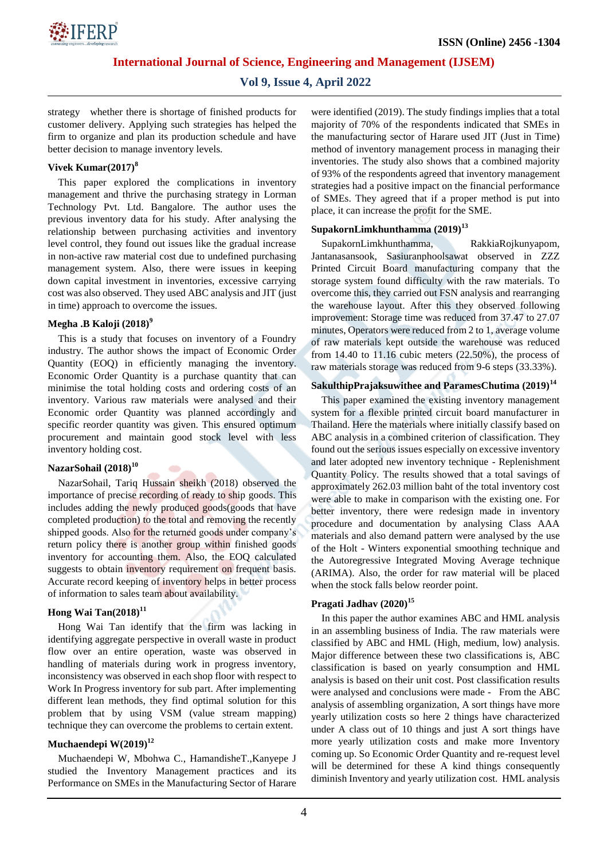

## **Vol 9, Issue 4, April 2022**

strategy whether there is shortage of finished products for customer delivery. Applying such strategies has helped the firm to organize and plan its production schedule and have better decision to manage inventory levels.

#### **Vivek Kumar(2017)<sup>8</sup>**

This paper explored the complications in inventory management and thrive the purchasing strategy in Lorman Technology Pvt. Ltd. Bangalore. The author uses the previous inventory data for his study. After analysing the relationship between purchasing activities and inventory level control, they found out issues like the gradual increase in non-active raw material cost due to undefined purchasing management system. Also, there were issues in keeping down capital investment in inventories, excessive carrying cost was also observed. They used ABC analysis and JIT (just in time) approach to overcome the issues.

#### **Megha .B Kaloji (2018)<sup>9</sup>**

This is a study that focuses on inventory of a Foundry industry. The author shows the impact of Economic Order Quantity (EOQ) in efficiently managing the inventory. Economic Order Quantity is a purchase quantity that can minimise the total holding costs and ordering costs of an inventory. Various raw materials were analysed and their Economic order Quantity was planned accordingly and specific reorder quantity was given. This ensured optimum procurement and maintain good stock level with less inventory holding cost.

## **NazarSohail (2018)<sup>10</sup>**

NazarSohail, Tariq Hussain sheikh (2018) observed the importance of precise recording of ready to ship goods. This includes adding the newly produced goods(goods that have completed production) to the total and removing the recently shipped goods. Also for the returned goods under company's return policy there is another group within finished goods inventory for accounting them. Also, the EOQ calculated suggests to obtain inventory requirement on frequent basis. Accurate record keeping of inventory helps in better process of information to sales team about availability.

# **Hong Wai Tan(2018)<sup>11</sup>**

Hong Wai Tan identify that the firm was lacking in identifying aggregate perspective in overall waste in product flow over an entire operation, waste was observed in handling of materials during work in progress inventory, inconsistency was observed in each shop floor with respect to Work In Progress inventory for sub part. After implementing different lean methods, they find optimal solution for this problem that by using VSM (value stream mapping) technique they can overcome the problems to certain extent.

## **Muchaendepi W(2019)<sup>12</sup>**

Muchaendepi W, Mbohwa C., HamandisheT.,Kanyepe J studied the Inventory Management practices and its Performance on SMEs in the Manufacturing Sector of Harare

were identified (2019). The study findings implies that a total majority of 70% of the respondents indicated that SMEs in the manufacturing sector of Harare used JIT (Just in Time) method of inventory management process in managing their inventories. The study also shows that a combined majority of 93% of the respondents agreed that inventory management strategies had a positive impact on the financial performance of SMEs. They agreed that if a proper method is put into place, it can increase the profit for the SME.

## **SupakornLimkhunthamma (2019)<sup>13</sup>**

SupakornLimkhunthamma, RakkiaRojkunyapom, Jantanasansook, Sasiuranphoolsawat observed in ZZZ Printed Circuit Board manufacturing company that the storage system found difficulty with the raw materials. To overcome this, they carried out FSN analysis and rearranging the warehouse layout. After this they observed following improvement: Storage time was reduced from 37.47 to 27.07 minutes, Operators were reduced from 2 to 1, average volume of raw materials kept outside the warehouse was reduced from 14.40 to 11.16 cubic meters  $(22.50\%)$ , the process of raw materials storage was reduced from 9-6 steps (33.33%).

## **SakulthipPrajaksuwithee and ParamesChutima (2019)<sup>14</sup>**

This paper examined the existing inventory management system for a flexible printed circuit board manufacturer in Thailand. Here the materials where initially classify based on ABC analysis in a combined criterion of classification. They found out the serious issues especially on excessive inventory and later adopted new inventory technique - Replenishment Quantity Policy. The results showed that a total savings of approximately 262.03 million baht of the total inventory cost were able to make in comparison with the existing one. For better inventory, there were redesign made in inventory procedure and documentation by analysing Class AAA materials and also demand pattern were analysed by the use of the Holt - Winters exponential smoothing technique and the Autoregressive Integrated Moving Average technique (ARIMA). Also, the order for raw material will be placed when the stock falls below reorder point.

## **Pragati Jadhav (2020)<sup>15</sup>**

In this paper the author examines ABC and HML analysis in an assembling business of India. The raw materials were classified by ABC and HML (High, medium, low) analysis. Major difference between these two classifications is, ABC classification is based on yearly consumption and HML analysis is based on their unit cost. Post classification results were analysed and conclusions were made - From the ABC analysis of assembling organization, A sort things have more yearly utilization costs so here 2 things have characterized under A class out of 10 things and just A sort things have more yearly utilization costs and make more Inventory coming up. So Economic Order Quantity and re-request level will be determined for these A kind things consequently diminish Inventory and yearly utilization cost. HML analysis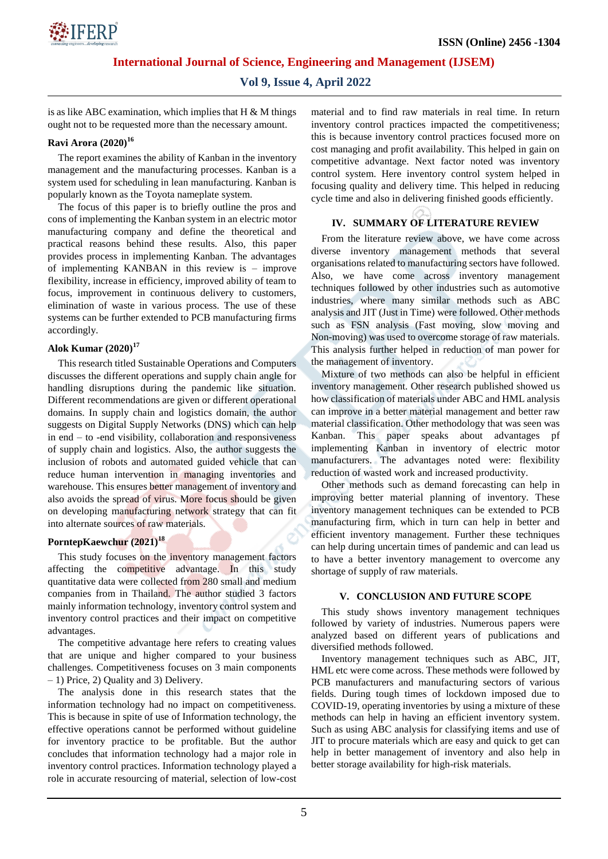

# **Vol 9, Issue 4, April 2022**

is as like ABC examination, which implies that  $H \& M$  things ought not to be requested more than the necessary amount.

# **Ravi Arora (2020)<sup>16</sup>**

The report examines the ability of Kanban in the inventory management and the manufacturing processes. Kanban is a system used for scheduling in lean manufacturing. Kanban is popularly known as the Toyota nameplate system.

The focus of this paper is to briefly outline the pros and cons of implementing the Kanban system in an electric motor manufacturing company and define the theoretical and practical reasons behind these results. Also, this paper provides process in implementing Kanban. The advantages of implementing KANBAN in this review is – improve flexibility, increase in efficiency, improved ability of team to focus, improvement in continuous delivery to customers, elimination of waste in various process. The use of these systems can be further extended to PCB manufacturing firms accordingly.

## **Alok Kumar (2020)<sup>17</sup>**

This research titled Sustainable Operations and Computers discusses the different operations and supply chain angle for handling disruptions during the pandemic like situation. Different recommendations are given or different operational domains. In supply chain and logistics domain, the author suggests on Digital Supply Networks (DNS) which can help in end – to -end visibility, collaboration and responsiveness of supply chain and logistics. Also, the author suggests the inclusion of robots and automated guided vehicle that can reduce human intervention in managing inventories and warehouse. This ensures better management of inventory and also avoids the spread of virus. More focus should be given on developing manufacturing network strategy that can fit into alternate sources of raw materials.

# **PorntepKaewchur (2021)<sup>18</sup>**

This study focuses on the inventory management factors affecting the competitive advantage. In this study quantitative data were collected from 280 small and medium companies from in Thailand. The author studied 3 factors mainly information technology, inventory control system and inventory control practices and their impact on competitive advantages.

The competitive advantage here refers to creating values that are unique and higher compared to your business challenges. Competitiveness focuses on 3 main components – 1) Price, 2) Quality and 3) Delivery.

The analysis done in this research states that the information technology had no impact on competitiveness. This is because in spite of use of Information technology, the effective operations cannot be performed without guideline for inventory practice to be profitable. But the author concludes that information technology had a major role in inventory control practices. Information technology played a role in accurate resourcing of material, selection of low-cost material and to find raw materials in real time. In return inventory control practices impacted the competitiveness; this is because inventory control practices focused more on cost managing and profit availability. This helped in gain on competitive advantage. Next factor noted was inventory control system. Here inventory control system helped in focusing quality and delivery time. This helped in reducing cycle time and also in delivering finished goods efficiently.

# **IV. SUMMARY OF LITERATURE REVIEW**

From the literature review above, we have come across diverse inventory management methods that several organisations related to manufacturing sectors have followed. Also, we have come across inventory management techniques followed by other industries such as automotive industries, where many similar methods such as ABC analysis and JIT (Just in Time) were followed. Other methods such as FSN analysis (Fast moving, slow moving and Non-moving) was used to overcome storage of raw materials. This analysis further helped in reduction of man power for the management of inventory.

Mixture of two methods can also be helpful in efficient inventory management. Other research published showed us how classification of materials under ABC and HML analysis can improve in a better material management and better raw material classification. Other methodology that was seen was Kanban. This paper speaks about advantages pf implementing Kanban in inventory of electric motor manufacturers. The advantages noted were: flexibility reduction of wasted work and increased productivity.

Other methods such as demand forecasting can help in improving better material planning of inventory. These inventory management techniques can be extended to PCB manufacturing firm, which in turn can help in better and efficient inventory management. Further these techniques can help during uncertain times of pandemic and can lead us to have a better inventory management to overcome any shortage of supply of raw materials.

## **V. CONCLUSION AND FUTURE SCOPE**

This study shows inventory management techniques followed by variety of industries. Numerous papers were analyzed based on different years of publications and diversified methods followed.

Inventory management techniques such as ABC, JIT, HML etc were come across. These methods were followed by PCB manufacturers and manufacturing sectors of various fields. During tough times of lockdown imposed due to COVID-19, operating inventories by using a mixture of these methods can help in having an efficient inventory system. Such as using ABC analysis for classifying items and use of JIT to procure materials which are easy and quick to get can help in better management of inventory and also help in better storage availability for high-risk materials.